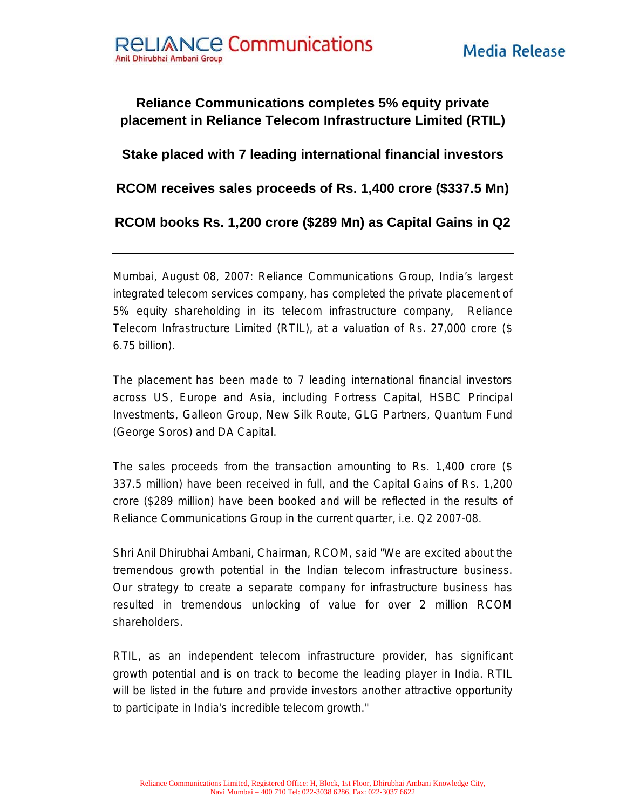## **Reliance Communications completes 5% equity private placement in Reliance Telecom Infrastructure Limited (RTIL)**

## **Stake placed with 7 leading international financial investors**

**RCOM receives sales proceeds of Rs. 1,400 crore (\$337.5 Mn)** 

**RCOM books Rs. 1,200 crore (\$289 Mn) as Capital Gains in Q2**

Mumbai, August 08, 2007: Reliance Communications Group, India's largest integrated telecom services company, has completed the private placement of 5% equity shareholding in its telecom infrastructure company, Reliance Telecom Infrastructure Limited (RTIL), at a valuation of Rs. 27,000 crore (\$ 6.75 billion).

The placement has been made to 7 leading international financial investors across US, Europe and Asia, including Fortress Capital, HSBC Principal Investments, Galleon Group, New Silk Route, GLG Partners, Quantum Fund (George Soros) and DA Capital.

The sales proceeds from the transaction amounting to Rs. 1,400 crore (\$ 337.5 million) have been received in full, and the Capital Gains of Rs. 1,200 crore (\$289 million) have been booked and will be reflected in the results of Reliance Communications Group in the current quarter, i.e. Q2 2007-08.

Shri Anil Dhirubhai Ambani, Chairman, RCOM, said "We are excited about the tremendous growth potential in the Indian telecom infrastructure business. Our strategy to create a separate company for infrastructure business has resulted in tremendous unlocking of value for over 2 million RCOM shareholders.

RTIL, as an independent telecom infrastructure provider, has significant growth potential and is on track to become the leading player in India. RTIL will be listed in the future and provide investors another attractive opportunity to participate in India's incredible telecom growth."